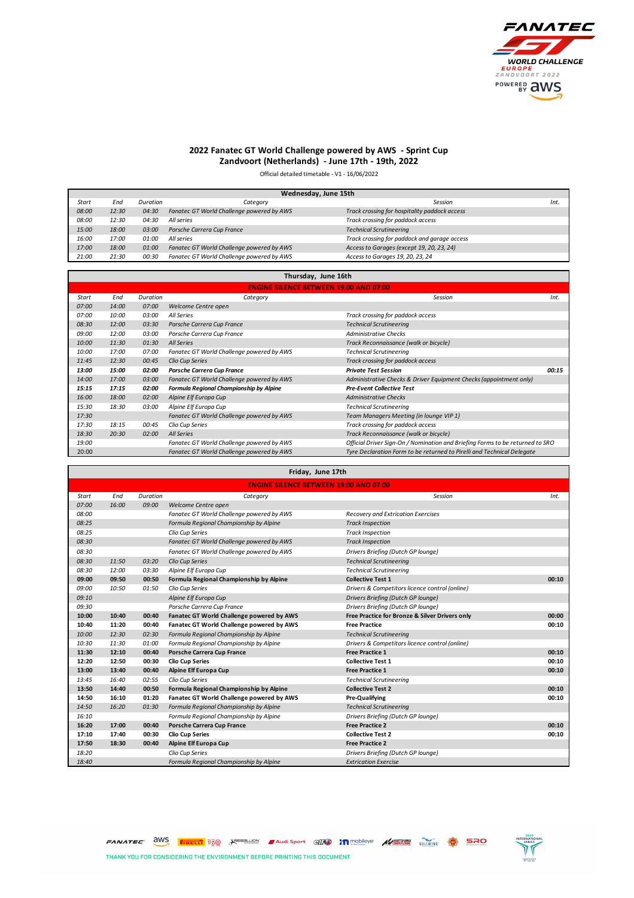

## **2022 Fanatec GT World Challenge powered by AWS - Sprint Cup Zandvoort (Netherlands) - June 17th - 19th, 2022**

Official detailed timetable - V1 - 16/06/2022

| Wednesday, June 15th |       |          |                                           |                                               |      |  |  |  |
|----------------------|-------|----------|-------------------------------------------|-----------------------------------------------|------|--|--|--|
| Start                | End   | Duration | Category                                  | Session                                       | Int. |  |  |  |
| 08:00                | 12:30 | 04:30    | Fanatec GT World Challenge powered by AWS | Track crossing for hospitality paddock access |      |  |  |  |
| 08:00                | 12:30 | 04:30    | All series                                | Track crossing for paddock access             |      |  |  |  |
| 15:00                | 18:00 | 03:00    | Porsche Carrera Cup France                | <b>Technical Scrutineering</b>                |      |  |  |  |
| 16:00                | 17:00 | 01:00    | All series                                | Track crossing for paddock and garage access  |      |  |  |  |
| 17:00                | 18:00 | 01:00    | Fanatec GT World Challenge powered by AWS | Access to Garages (except 19, 20, 23, 24)     |      |  |  |  |
| 21:00                | 21:30 | 00:30    | Fanatec GT World Challenge powered by AWS | Access to Garages 19, 20, 23, 24              |      |  |  |  |

| Thursday, June 16th                           |       |          |                                           |                                                                               |       |  |  |
|-----------------------------------------------|-------|----------|-------------------------------------------|-------------------------------------------------------------------------------|-------|--|--|
| <b>ENGINE SILENCE BETWEEN 19:00 AND 07:00</b> |       |          |                                           |                                                                               |       |  |  |
| Start                                         | End   | Duration | Category                                  | Session                                                                       | Int.  |  |  |
| 07:00                                         | 14:00 | 07:00    | Welcome Centre open                       |                                                                               |       |  |  |
| 07:00                                         | 10:00 | 03:00    | All Series                                | Track crossing for paddock access                                             |       |  |  |
| 08:30                                         | 12:00 | 03:30    | Porsche Carrera Cup France                | <b>Technical Scrutineering</b>                                                |       |  |  |
| 09:00                                         | 12:00 | 03:00    | Porsche Carrera Cup France                | <b>Administrative Checks</b>                                                  |       |  |  |
| 10:00                                         | 11:30 | 01:30    | All Series                                | Track Reconnaissance (walk or bicycle)                                        |       |  |  |
| 10:00                                         | 17:00 | 07:00    | Fanatec GT World Challenge powered by AWS | <b>Technical Scrutineering</b>                                                |       |  |  |
| 11:45                                         | 12:30 | 00:45    | Clio Cup Series                           | Track crossing for paddock access                                             |       |  |  |
| 13:00                                         | 15:00 | 02:00    | Porsche Carrera Cup France                | <b>Private Test Session</b>                                                   | 00:15 |  |  |
| 14:00                                         | 17:00 | 03:00    | Fanatec GT World Challenge powered by AWS | Administrative Checks & Driver Equipment Checks (appointment only)            |       |  |  |
| 15:15                                         | 17:15 | 02:00    | Formula Regional Championship by Alpine   | <b>Pre-Event Collective Test</b>                                              |       |  |  |
| 16:00                                         | 18:00 | 02:00    | Alpine Elf Europa Cup                     | <b>Administrative Checks</b>                                                  |       |  |  |
| 15:30                                         | 18:30 | 03:00    | Alpine Elf Europa Cup                     | <b>Technical Scrutineering</b>                                                |       |  |  |
| 17:30                                         |       |          | Fanatec GT World Challenge powered by AWS | Team Managers Meeting (in lounge VIP 1)                                       |       |  |  |
| 17:30                                         | 18:15 | 00:45    | Clio Cup Series                           | Track crossing for paddock access                                             |       |  |  |
| 18:30                                         | 20:30 | 02:00    | All Series                                | Track Reconnaissance (walk or bicycle)                                        |       |  |  |
| 19:00                                         |       |          | Fanatec GT World Challenge powered by AWS | Official Driver Sign-On / Nomination and Briefing Forms to be returned to SRO |       |  |  |
| 20:00                                         |       |          | Fanatec GT World Challenge powered by AWS | Tyre Declaration Form to be returned to Pirelli and Technical Delegate        |       |  |  |

## **Friday, June 17th**

| <b>ENGINE SILENCE BETWEEN 19:00 AND 07:00</b> |       |          |                                           |                                                |       |  |  |
|-----------------------------------------------|-------|----------|-------------------------------------------|------------------------------------------------|-------|--|--|
| Start                                         | End   | Duration | Category                                  | Session                                        | Int.  |  |  |
| 07:00                                         | 16:00 | 09:00    | Welcome Centre open                       |                                                |       |  |  |
| 08:00                                         |       |          | Fanatec GT World Challenge powered by AWS | <b>Recovery and Extrication Exercises</b>      |       |  |  |
| 08:25                                         |       |          | Formula Regional Championship by Alpine   | <b>Track Inspection</b>                        |       |  |  |
| 08:25                                         |       |          | Clio Cup Series                           | <b>Track Inspection</b>                        |       |  |  |
| 08:30                                         |       |          | Fanatec GT World Challenge powered by AWS | <b>Track Inspection</b>                        |       |  |  |
| 08:30                                         |       |          | Fanatec GT World Challenge powered by AWS | Drivers Briefing (Dutch GP lounge)             |       |  |  |
| 08:30                                         | 11:50 | 03:20    | Clio Cup Series                           | <b>Technical Scrutineering</b>                 |       |  |  |
| 08:30                                         | 12:00 | 03:30    | Alpine Elf Europa Cup                     | <b>Technical Scrutineering</b>                 |       |  |  |
| 09:00                                         | 09:50 | 00:50    | Formula Regional Championship by Alpine   | <b>Collective Test 1</b>                       | 00:10 |  |  |
| 09:00                                         | 10:50 | 01:50    | Clio Cup Series                           | Drivers & Competitors licence control (online) |       |  |  |
| 09:10                                         |       |          | Alpine Elf Europa Cup                     | Drivers Briefing (Dutch GP lounge)             |       |  |  |
| 09:30                                         |       |          | Porsche Carrera Cup France                | Drivers Briefing (Dutch GP lounge)             |       |  |  |
| 10:00                                         | 10:40 | 00:40    | Fanatec GT World Challenge powered by AWS | Free Practice for Bronze & Silver Drivers only | 00:00 |  |  |
| 10:40                                         | 11:20 | 00:40    | Fanatec GT World Challenge powered by AWS | <b>Free Practice</b>                           | 00:10 |  |  |
| 10:00                                         | 12:30 | 02:30    | Formula Regional Championship by Alpine   | <b>Technical Scrutineering</b>                 |       |  |  |
| 10:30                                         | 11:30 | 01:00    | Formula Regional Championship by Alpine   | Drivers & Competitors licence control (online) |       |  |  |
| 11:30                                         | 12:10 | 00:40    | Porsche Carrera Cup France                | <b>Free Practice 1</b>                         | 00:10 |  |  |
| 12:20                                         | 12:50 | 00:30    | <b>Clio Cup Series</b>                    | <b>Collective Test 1</b>                       | 00:10 |  |  |
| 13:00                                         | 13:40 | 00:40    | Alpine Elf Europa Cup                     | <b>Free Practice 1</b>                         | 00:10 |  |  |
| 13:45                                         | 16:40 | 02:55    | Clio Cup Series                           | <b>Technical Scrutineering</b>                 |       |  |  |
| 13:50                                         | 14:40 | 00:50    | Formula Regional Championship by Alpine   | <b>Collective Test 2</b>                       | 00:10 |  |  |
| 14:50                                         | 16:10 | 01:20    | Fanatec GT World Challenge powered by AWS | Pre-Qualifying                                 | 00:10 |  |  |
| 14:50                                         | 16:20 | 01:30    | Formula Regional Championship by Alpine   | <b>Technical Scrutineering</b>                 |       |  |  |
| 16:10                                         |       |          | Formula Regional Championship by Alpine   | Drivers Briefing (Dutch GP lounge)             |       |  |  |
| 16:20                                         | 17:00 | 00:40    | Porsche Carrera Cup France                | <b>Free Practice 2</b>                         | 00:10 |  |  |
| 17:10                                         | 17:40 | 00:30    | <b>Clio Cup Series</b>                    | <b>Collective Test 2</b>                       | 00:10 |  |  |
| 17:50                                         | 18:30 | 00:40    | Alpine Elf Europa Cup                     | <b>Free Practice 2</b>                         |       |  |  |
| 18:20                                         |       |          | Clio Cup Series                           | Drivers Briefing (Dutch GP lounge)             |       |  |  |
| 18:40                                         |       |          | Formula Regional Championship by Alpine   | <b>Extrication Exercise</b>                    |       |  |  |

FANATEC aws **FIRELL** 150 Jeres Lion Audi Sport and **in** mobileye **AVISION** SULWES **OF SRO** 

THANK YOU FOR CONSIDERING THE ENVIRONMENT BEFORE PRINTING THIS DOCUMENT

Г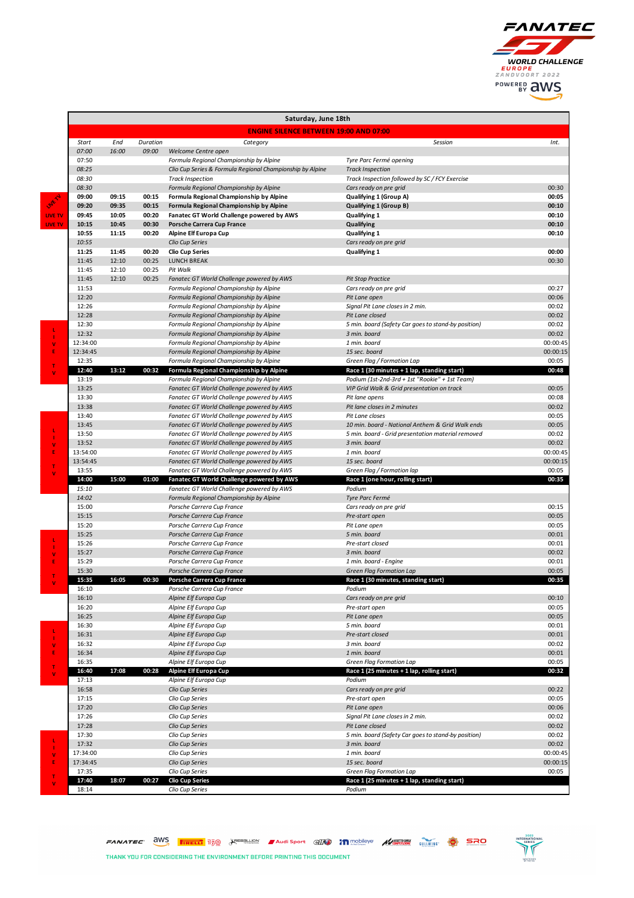

|         | Saturday, June 18th                           |       |          |                                                                                        |                                                                                              |                      |  |  |  |
|---------|-----------------------------------------------|-------|----------|----------------------------------------------------------------------------------------|----------------------------------------------------------------------------------------------|----------------------|--|--|--|
|         | <b>ENGINE SILENCE BETWEEN 19:00 AND 07:00</b> |       |          |                                                                                        |                                                                                              |                      |  |  |  |
|         | Start                                         | End   | Duration | Category                                                                               | Session                                                                                      | Int.                 |  |  |  |
|         | 07:00                                         | 16:00 | 09:00    | Welcome Centre open                                                                    |                                                                                              |                      |  |  |  |
|         | 07:50                                         |       |          | Formula Regional Championship by Alpine                                                | Tyre Parc Fermé opening                                                                      |                      |  |  |  |
|         | 08:25<br>08:30                                |       |          | Clio Cup Series & Formula Regional Championship by Alpine<br><b>Track Inspection</b>   | <b>Track Inspection</b><br>Track Inspection followed by SC / FCY Exercise                    |                      |  |  |  |
|         | 08:30                                         |       |          | Formula Regional Championship by Alpine                                                | Cars ready on pre grid                                                                       | 00:30                |  |  |  |
|         | 09:00                                         | 09:15 | 00:15    | Formula Regional Championship by Alpine                                                | Qualifying 1 (Group A)                                                                       | 00:05                |  |  |  |
|         | 09:20                                         | 09:35 | 00:15    | Formula Regional Championship by Alpine                                                | Qualifying 1 (Group B)                                                                       | 00:10                |  |  |  |
| LIVE TV | 09:45                                         | 10:05 | 00:20    | Fanatec GT World Challenge powered by AWS                                              | Qualifying 1                                                                                 | 00:10                |  |  |  |
| LIVE TV | 10:15                                         | 10:45 | 00:30    | Porsche Carrera Cup France                                                             | Qualifying                                                                                   | 00:10                |  |  |  |
|         | 10:55<br>10:55                                | 11:15 | 00:20    | Alpine Elf Europa Cup                                                                  | Qualifying 1                                                                                 | 00:10                |  |  |  |
|         | 11:25                                         | 11:45 | 00:20    | Clio Cup Series<br><b>Clio Cup Series</b>                                              | Cars ready on pre grid<br>Qualifying 1                                                       | 00:00                |  |  |  |
|         | 11:45                                         | 12:10 | 00:25    | <b>LUNCH BREAK</b>                                                                     |                                                                                              | 00:30                |  |  |  |
|         | 11:45                                         | 12:10 | 00:25    | Pit Walk                                                                               |                                                                                              |                      |  |  |  |
|         | 11:45                                         | 12:10 | 00:25    | Fanatec GT World Challenge powered by AWS                                              | <b>Pit Stop Practice</b>                                                                     |                      |  |  |  |
|         | 11:53                                         |       |          | Formula Regional Championship by Alpine                                                | Cars ready on pre grid                                                                       | 00:27                |  |  |  |
|         | 12:20                                         |       |          | Formula Regional Championship by Alpine                                                | Pit Lane open                                                                                | 00:06                |  |  |  |
|         | 12:26<br>12:28                                |       |          | Formula Regional Championship by Alpine<br>Formula Regional Championship by Alpine     | Signal Pit Lane closes in 2 min.<br>Pit Lane closed                                          | 00:02<br>00:02       |  |  |  |
|         | 12:30                                         |       |          | Formula Regional Championship by Alpine                                                | 5 min. board (Safety Car goes to stand-by position)                                          | 00:02                |  |  |  |
|         | 12:32                                         |       |          | Formula Regional Championship by Alpine                                                | 3 min. board                                                                                 | 00:02                |  |  |  |
| v       | 12:34:00                                      |       |          | Formula Regional Championship by Alpine                                                | 1 min. board                                                                                 | 00:00:45             |  |  |  |
| E       | 12:34:45                                      |       |          | Formula Regional Championship by Alpine                                                | 15 sec. board                                                                                | 00:00:15             |  |  |  |
| т       | 12:35                                         |       |          | Formula Regional Championship by Alpine                                                | Green Flag / Formation Lap                                                                   | 00:05                |  |  |  |
|         | 12:40                                         | 13:12 | 00:32    | Formula Regional Championship by Alpine                                                | Race 1 (30 minutes + 1 lap, standing start)                                                  | 00:48                |  |  |  |
|         | 13:19<br>13:25                                |       |          | Formula Regional Championship by Alpine<br>Fanatec GT World Challenge powered by AWS   | Podium (1st-2nd-3rd + 1st "Rookie" + 1st Team)<br>VIP Grid Walk & Grid presentation on track | 00:05                |  |  |  |
|         | 13:30                                         |       |          | Fanatec GT World Challenge powered by AWS                                              | Pit lane opens                                                                               | 00:08                |  |  |  |
|         | 13:38                                         |       |          | Fanatec GT World Challenge powered by AWS                                              | Pit lane closes in 2 minutes                                                                 | 00:02                |  |  |  |
|         | 13:40                                         |       |          | Fanatec GT World Challenge powered by AWS                                              | Pit Lane closes                                                                              | 00:05                |  |  |  |
|         | 13:45                                         |       |          | Fanatec GT World Challenge powered by AWS                                              | 10 min. board - National Anthem & Grid Walk ends                                             | 00:05                |  |  |  |
|         | 13:50                                         |       |          | Fanatec GT World Challenge powered by AWS                                              | 5 min. board - Grid presentation material removed                                            | 00:02                |  |  |  |
| ٧       | 13:52                                         |       |          | Fanatec GT World Challenge powered by AWS                                              | 3 min. board                                                                                 | 00:02                |  |  |  |
| E       | 13:54:00<br>13:54:45                          |       |          | Fanatec GT World Challenge powered by AWS<br>Fanatec GT World Challenge powered by AWS | 1 min. board<br>15 sec. board                                                                | 00:00:45<br>00:00:15 |  |  |  |
| T<br>v  | 13:55                                         |       |          | Fanatec GT World Challenge powered by AWS                                              | Green Flag / Formation lap                                                                   | 00:05                |  |  |  |
|         | 14:00                                         | 15:00 | 01:00    | Fanatec GT World Challenge powered by AWS                                              | Race 1 (one hour, rolling start)                                                             | 00:35                |  |  |  |
|         | 15:10                                         |       |          | Fanatec GT World Challenge powered by AWS                                              | Podium                                                                                       |                      |  |  |  |
|         | 14:02                                         |       |          | Formula Regional Championship by Alpine                                                | Tyre Parc Fermé                                                                              |                      |  |  |  |
|         | 15:00<br>15:15                                |       |          | Porsche Carrera Cup France<br>Porsche Carrera Cup France                               | Cars ready on pre grid<br>Pre-start open                                                     | 00:15<br>00:05       |  |  |  |
|         | 15:20                                         |       |          | Porsche Carrera Cup France                                                             | Pit Lane open                                                                                | 00:05                |  |  |  |
|         | 15:25                                         |       |          | Porsche Carrera Cup France                                                             | 5 min. board                                                                                 | 00:01                |  |  |  |
|         | 15:26                                         |       |          | Porsche Carrera Cup France                                                             | Pre-start closed                                                                             | 00:01                |  |  |  |
| v       | 15:27                                         |       |          | Porsche Carrera Cup France                                                             | 3 min. board                                                                                 | 00:02                |  |  |  |
|         | 15:29                                         |       |          | Porsche Carrera Cup France                                                             | 1 min. board - Engine                                                                        | 00:01                |  |  |  |
|         | 15:30<br>15:35                                | 16:05 | 00:30    | Porsche Carrera Cup France                                                             | <b>Green Flag Formation Lap</b>                                                              | 00:05<br>00:35       |  |  |  |
|         | 10:10                                         |       |          | Porsche Carrera Cup France<br>Porsche Carrera Cup France                               | Race 1 (30 minutes, standing start)<br>roaium                                                |                      |  |  |  |
|         | 16:10                                         |       |          | Alpine Elf Europa Cup                                                                  | Cars ready on pre grid                                                                       | 00:10                |  |  |  |
|         | 16:20                                         |       |          | Alpine Elf Europa Cup                                                                  | Pre-start open                                                                               | 00:05                |  |  |  |
|         | 16:25                                         |       |          | Alpine Elf Europa Cup                                                                  | Pit Lane open                                                                                | 00:05                |  |  |  |
|         | 16:30                                         |       |          | Alpine Elf Europa Cup                                                                  | 5 min. board                                                                                 | 00:01                |  |  |  |
|         | 16:31                                         |       |          | Alpine Elf Europa Cup                                                                  | Pre-start closed                                                                             | 00:01                |  |  |  |
| v<br>E  | 16:32<br>16:34                                |       |          | Alpine Elf Europa Cup<br>Alpine Elf Europa Cup                                         | 3 min. board<br>1 min. board                                                                 | 00:02<br>00:01       |  |  |  |
|         | 16:35                                         |       |          | Alpine Elf Europa Cup                                                                  | Green Flag Formation Lap                                                                     | 00:05                |  |  |  |
| т<br>v  | 16:40                                         | 17:08 | 00:28    | Alpine Elf Europa Cup                                                                  | Race 1 (25 minutes + 1 lap, rolling start)                                                   | 00:32                |  |  |  |
|         | 17:13                                         |       |          | Alpine Elf Europa Cup                                                                  | Podium                                                                                       |                      |  |  |  |
|         | 16:58                                         |       |          | Clio Cup Series                                                                        | Cars ready on pre grid                                                                       | 00:22                |  |  |  |
|         | 17:15                                         |       |          | Clio Cup Series                                                                        | Pre-start open                                                                               | 00:05                |  |  |  |
|         | 17:20<br>17:26                                |       |          | Clio Cup Series<br>Clio Cup Series                                                     | Pit Lane open<br>Signal Pit Lane closes in 2 min.                                            | 00:06<br>00:02       |  |  |  |
|         | 17:28                                         |       |          | Clio Cup Series                                                                        | Pit Lane closed                                                                              | 00:02                |  |  |  |
|         | 17:30                                         |       |          | Clio Cup Series                                                                        | 5 min. board (Safety Car goes to stand-by position)                                          | 00:02                |  |  |  |
|         | 17:32                                         |       |          | Clio Cup Series                                                                        | 3 min. board                                                                                 | 00:02                |  |  |  |
| ٧       | 17:34:00                                      |       |          | Clio Cup Series                                                                        | 1 min. board                                                                                 | 00:00:45             |  |  |  |
| E       | 17:34:45                                      |       |          | Clio Cup Series                                                                        | 15 sec. board                                                                                | 00:00:15             |  |  |  |
| T       | 17:35<br>17:40                                | 18:07 | 00:27    | Clio Cup Series<br><b>Clio Cup Series</b>                                              | Green Flag Formation Lap<br>Race 1 (25 minutes + 1 lap, standing start)                      | 00:05                |  |  |  |
| v       | 18:14                                         |       |          | Clio Cup Series                                                                        | Podium                                                                                       |                      |  |  |  |

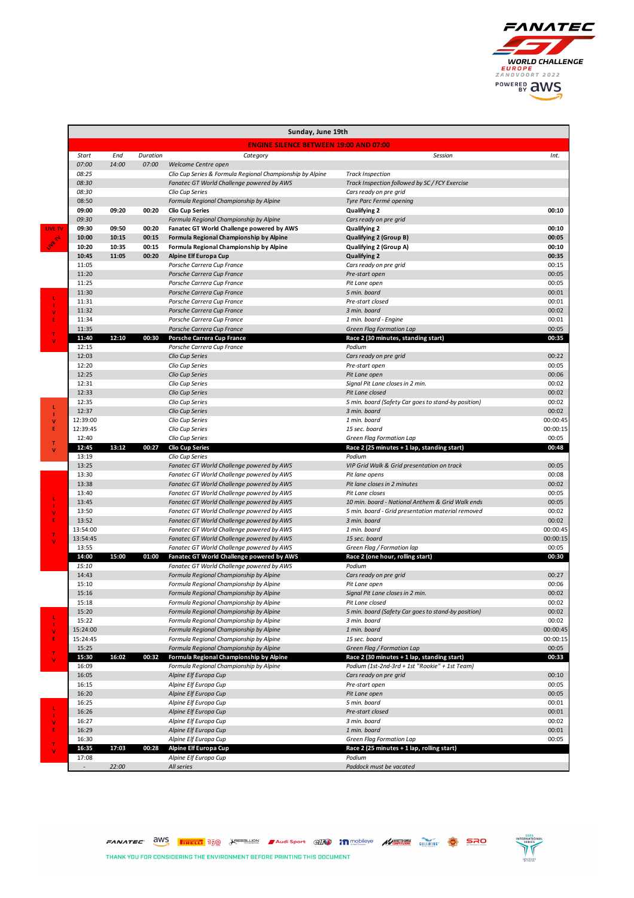

|         | Sunday, June 19th                             |                |                |                                                                                        |                                                                                               |                |  |  |  |
|---------|-----------------------------------------------|----------------|----------------|----------------------------------------------------------------------------------------|-----------------------------------------------------------------------------------------------|----------------|--|--|--|
|         | <b>ENGINE SILENCE BETWEEN 19:00 AND 07:00</b> |                |                |                                                                                        |                                                                                               |                |  |  |  |
|         | Start                                         | End            | Duration       | Category                                                                               | Session                                                                                       | Int.           |  |  |  |
|         | 07:00                                         | 14:00          | 07:00          | Welcome Centre open                                                                    |                                                                                               |                |  |  |  |
|         | 08:25                                         |                |                | Clio Cup Series & Formula Regional Championship by Alpine                              | <b>Track Inspection</b>                                                                       |                |  |  |  |
|         | 08:30                                         |                |                | Fanatec GT World Challenge powered by AWS                                              | Track Inspection followed by SC / FCY Exercise                                                |                |  |  |  |
|         | 08:30                                         |                |                | Clio Cup Series                                                                        | Cars ready on pre grid                                                                        |                |  |  |  |
|         | 08:50                                         |                |                | Formula Regional Championship by Alpine                                                | Tyre Parc Fermé opening                                                                       |                |  |  |  |
|         | 09:00                                         | 09:20          | 00:20          | <b>Clio Cup Series</b>                                                                 | Qualifying 2                                                                                  | 00:10          |  |  |  |
|         | 09:30                                         |                |                | Formula Regional Championship by Alpine                                                | Cars ready on pre grid                                                                        |                |  |  |  |
| LIVE TV | 09:30                                         | 09:50          | 00:20          | Fanatec GT World Challenge powered by AWS                                              | Qualifying 2                                                                                  | 00:10          |  |  |  |
|         | 10:00<br>10:20                                | 10:15<br>10:35 | 00:15<br>00:15 | Formula Regional Championship by Alpine<br>Formula Regional Championship by Alpine     | <b>Qualifying 2 (Group B)</b>                                                                 | 00:05<br>00:10 |  |  |  |
|         | 10:45                                         | 11:05          | 00:20          | Alpine Elf Europa Cup                                                                  | Qualifying 2 (Group A)<br><b>Qualifying 2</b>                                                 | 00:35          |  |  |  |
|         | 11:05                                         |                |                | Porsche Carrera Cup France                                                             | Cars ready on pre grid                                                                        | 00:15          |  |  |  |
|         | 11:20                                         |                |                | Porsche Carrera Cup France                                                             | Pre-start open                                                                                | 00:05          |  |  |  |
|         | 11:25                                         |                |                | Porsche Carrera Cup France                                                             | Pit Lane open                                                                                 | 00:05          |  |  |  |
|         | 11:30                                         |                |                | Porsche Carrera Cup France                                                             | 5 min. board                                                                                  | 00:01          |  |  |  |
|         | 11:31                                         |                |                | Porsche Carrera Cup France                                                             | Pre-start closed                                                                              | 00:01          |  |  |  |
| v       | 11:32                                         |                |                | Porsche Carrera Cup France                                                             | 3 min. board                                                                                  | 00:02          |  |  |  |
| E       | 11:34                                         |                |                | Porsche Carrera Cup France                                                             | 1 min. board - Engine                                                                         | 00:01          |  |  |  |
| т       | 11:35                                         |                |                | Porsche Carrera Cup France                                                             | <b>Green Flag Formation Lap</b>                                                               | 00:05          |  |  |  |
| v       | 11:40                                         | 12:10          | 00:30          | Porsche Carrera Cup France                                                             | Race 2 (30 minutes, standing start)                                                           | 00:35          |  |  |  |
|         | 12:15<br>12:03                                |                |                | Porsche Carrera Cup France<br>Clio Cup Series                                          | Podium<br>Cars ready on pre grid                                                              | 00:22          |  |  |  |
|         | 12:20                                         |                |                | Clio Cup Series                                                                        | Pre-start open                                                                                | 00:05          |  |  |  |
|         | 12:25                                         |                |                | Clio Cup Series                                                                        | Pit Lane open                                                                                 | 00:06          |  |  |  |
|         | 12:31                                         |                |                | Clio Cup Series                                                                        | Signal Pit Lane closes in 2 min.                                                              | 00:02          |  |  |  |
|         | 12:33                                         |                |                | Clio Cup Series                                                                        | Pit Lane closed                                                                               | 00:02          |  |  |  |
|         | 12:35                                         |                |                | Clio Cup Series                                                                        | 5 min. board (Safety Car goes to stand-by position)                                           | 00:02          |  |  |  |
| ш<br>т  | 12:37                                         |                |                | Clio Cup Series                                                                        | 3 min. board                                                                                  | 00:02          |  |  |  |
| v       | 12:39:00                                      |                |                | Clio Cup Series                                                                        | 1 min. board                                                                                  | 00:00:45       |  |  |  |
| E       | 12:39:45                                      |                |                | Clio Cup Series                                                                        | 15 sec. board                                                                                 | 00:00:15       |  |  |  |
| т       | 12:40                                         |                |                | Clio Cup Series                                                                        | Green Flag Formation Lap                                                                      | 00:05          |  |  |  |
| v       | 12:45                                         | 13:12          | 00:27          | <b>Clio Cup Series</b>                                                                 | Race 2 (25 minutes + 1 lap, standing start)                                                   | 00:48          |  |  |  |
|         | 13:19<br>13:25                                |                |                | Clio Cup Series<br>Fanatec GT World Challenge powered by AWS                           | Podium<br>VIP Grid Walk & Grid presentation on track                                          | 00:05          |  |  |  |
|         | 13:30                                         |                |                | Fanatec GT World Challenge powered by AWS                                              | Pit lane opens                                                                                | 00:08          |  |  |  |
|         | 13:38                                         |                |                | Fanatec GT World Challenge powered by AWS                                              | Pit lane closes in 2 minutes                                                                  | 00:02          |  |  |  |
|         | 13:40                                         |                |                | Fanatec GT World Challenge powered by AWS                                              | Pit Lane closes                                                                               | 00:05          |  |  |  |
|         | 13:45                                         |                |                | Fanatec GT World Challenge powered by AWS                                              | 10 min. board - National Anthem & Grid Walk ends                                              | 00:05          |  |  |  |
| v       | 13:50                                         |                |                | Fanatec GT World Challenge powered by AWS                                              | 5 min. board - Grid presentation material removed                                             | 00:02          |  |  |  |
| E       | 13:52                                         |                |                | Fanatec GT World Challenge powered by AWS                                              | 3 min. board                                                                                  | 00:02          |  |  |  |
| т       | 13:54:00                                      |                |                | Fanatec GT World Challenge powered by AWS                                              | 1 min. board                                                                                  | 00:00:45       |  |  |  |
|         | 13:54:45                                      |                |                | Fanatec GT World Challenge powered by AWS                                              | 15 sec. board                                                                                 | 00:00:15       |  |  |  |
|         | 13:55                                         |                |                | Fanatec GT World Challenge powered by AWS                                              | Green Flag / Formation lap                                                                    | 00:05          |  |  |  |
|         | 14:00<br>15:10                                | 15:00          | 01:00          | Fanatec GT World Challenge powered by AWS<br>Fanatec GT World Challenge powered by AWS | Race 2 (one hour, rolling start)<br>Podium                                                    | 00:30          |  |  |  |
|         | 14:43                                         |                |                | Formula Regional Championship by Alpine                                                | Cars ready on pre grid                                                                        | 00:27          |  |  |  |
|         | 15:10                                         |                |                | Formula Regional Championship by Alpine                                                | Pit Lane open                                                                                 | 00:06          |  |  |  |
|         | 15:16                                         |                |                | Formula Regional Championship by Alpine                                                | Signal Pit Lane closes in 2 min.                                                              | 00:02          |  |  |  |
|         | 15:18                                         |                |                | Formula Regional Championship by Alpine                                                | Pit Lane closed                                                                               | 00:02          |  |  |  |
|         | 15:20                                         |                |                | Formula Regional Championship by Alpine                                                | 5 min. board (Safety Car goes to stand-by position)                                           | 00:02          |  |  |  |
|         | 15:22                                         |                |                | Formula Regional Championship by Alpine                                                | 3 min. board                                                                                  | 00:02          |  |  |  |
|         | 15:24:00                                      |                |                | Formula Regional Championship by Alpine                                                | 1 min. board                                                                                  | 00:00:45       |  |  |  |
|         | 15:24:45                                      |                |                | Formula Regional Championship by Alpine                                                | 15 sec. board                                                                                 | 00:00:15       |  |  |  |
| T       | 15:25                                         |                |                | Formula Regional Championship by Alpine                                                | Green Flag / Formation Lap                                                                    | 00:05          |  |  |  |
|         | 15:30<br>16:09                                | 16:02          | 00:32          | Formula Regional Championship by Alpine<br>Formula Regional Championship by Alpine     | Race 2 (30 minutes + 1 lap, standing start)<br>Podium (1st-2nd-3rd + 1st "Rookie" + 1st Team) | 00:33          |  |  |  |
|         | 16:05                                         |                |                | Alpine Elf Europa Cup                                                                  | Cars ready on pre grid                                                                        | 00:10          |  |  |  |
|         | 16:15                                         |                |                | Alpine Elf Europa Cup                                                                  | Pre-start open                                                                                | 00:05          |  |  |  |
|         | 16:20                                         |                |                | Alpine Elf Europa Cup                                                                  | Pit Lane open                                                                                 | 00:05          |  |  |  |
|         | 16:25                                         |                |                | Alpine Elf Europa Cup                                                                  | 5 min. board                                                                                  | 00:01          |  |  |  |
|         | 16:26                                         |                |                | Alpine Elf Europa Cup                                                                  | Pre-start closed                                                                              | 00:01          |  |  |  |
| v       | 16:27                                         |                |                | Alpine Elf Europa Cup                                                                  | 3 min. board                                                                                  | 00:02          |  |  |  |
|         | 16:29                                         |                |                | Alpine Elf Europa Cup                                                                  | 1 min. board                                                                                  | 00:01          |  |  |  |
|         | 16:30                                         |                |                | Alpine Elf Europa Cup                                                                  | Green Flag Formation Lap                                                                      | 00:05          |  |  |  |
|         | 16:35                                         | 17:03          | 00:28          | Alpine Elf Europa Cup                                                                  | Race 2 (25 minutes + 1 lap, rolling start)                                                    |                |  |  |  |
|         | 17:08                                         |                |                | Alpine Elf Europa Cup                                                                  | Podium                                                                                        |                |  |  |  |
|         |                                               | 22:00          |                | All series                                                                             | Paddock must be vacated                                                                       |                |  |  |  |

FANATEC aws **Treat 150** Secretion Addisport and in mobileve **ACTION** where **O SRO** 

THANK YOU FOR CONSIDERING THE ENVIRONMENT BEFORE PRINTING THIS DOCUMENT